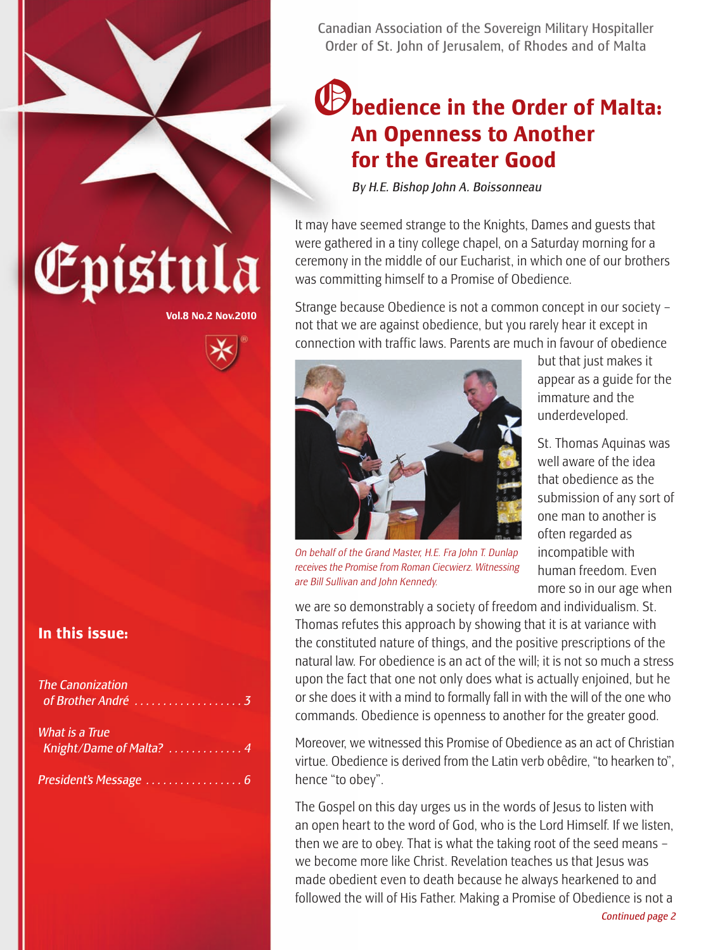

### O**bedience in the Order of Malta: An Openness to Another for the Greater Good**

*By H.E. Bishop John A. Boissonneau*

It may have seemed strange to the Knights, Dames and guests that were gathered in a tiny college chapel, on a Saturday morning for a ceremony in the middle of our Eucharist, in which one of our brothers was committing himself to a Promise of Obedience.

Strange because Obedience is not a common concept in our society – not that we are against obedience, but you rarely hear it except in connection with traffic laws. Parents are much in favour of obedience



*On behalf of the Grand Master, H.E. Fra John T. Dunlap receives the Promise from Roman Ciecwierz. Witnessing are Bill Sullivan and John Kennedy.*

but that just makes it appear as a guide for the immature and the underdeveloped.

St. Thomas Aquinas was well aware of the idea that obedience as the submission of any sort of one man to another is often regarded as incompatible with human freedom. Even more so in our age when

we are so demonstrably a society of freedom and individualism. St. Thomas refutes this approach by showing that it is at variance with the constituted nature of things, and the positive prescriptions of the natural law. For obedience is an act of the will; it is not so much a stress upon the fact that one not only does what is actually enjoined, but he or she does it with a mind to formally fall in with the will of the one who commands. Obedience is openness to another for the greater good.

Moreover, we witnessed this Promise of Obedience as an act of Christian virtue. Obedience is derived from the Latin verb obêdire, "to hearken to", hence "to obey".

The Gospel on this day urges us in the words of Jesus to listen with an open heart to the word of God, who is the Lord Himself. If we listen, then we are to obey. That is what the taking root of the seed means – we become more like Christ. Revelation teaches us that Jesus was made obedient even to death because he always hearkened to and followed the will of His Father. Making a Promise of Obedience is not a

# Epístula

**Vol.8 No.2 Nov.2010**

#### **In this issue:**

| <b>The Canonization</b>                   |  |
|-------------------------------------------|--|
| What is a True<br>Knight/Dame of Malta? 4 |  |
|                                           |  |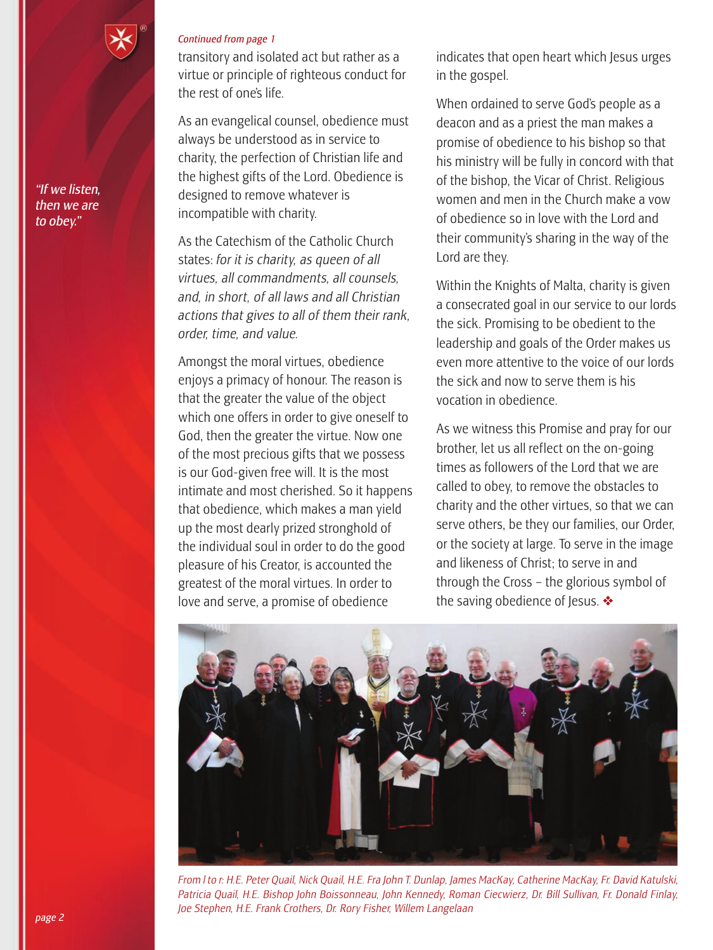

*Continued from page 1*

transitory and isolated act but rather as a virtue or principle of righteous conduct for the rest of one's life.

As an evangelical counsel, obedience must always be understood as in service to charity, the perfection of Christian life and the highest gifts of the Lord. Obedience is designed to remove whatever is incompatible with charity.

As the Catechism of the Catholic Church states: *for it is charity, as queen of all virtues, all commandments, all counsels, and, in short, of all laws and all Christian actions that gives to all of them their rank, order, time, and value.*

Amongst the moral virtues, obedience enjoys a primacy of honour. The reason is that the greater the value of the object which one offers in order to give oneself to God, then the greater the virtue. Now one of the most precious gifts that we possess is our God-given free will. It is the most intimate and most cherished. So it happens that obedience, which makes a man yield up the most dearly prized stronghold of the individual soul in order to do the good pleasure of his Creator, is accounted the greatest of the moral virtues. In order to love and serve, a promise of obedience

indicates that open heart which Jesus urges in the gospel.

When ordained to serve God's people as a deacon and as a priest the man makes a promise of obedience to his bishop so that his ministry will be fully in concord with that of the bishop, the Vicar of Christ. Religious women and men in the Church make a vow of obedience so in love with the Lord and their community's sharing in the way of the Lord are they.

Within the Knights of Malta, charity is given a consecrated goal in our service to our lords the sick. Promising to be obedient to the leadership and goals of the Order makes us even more attentive to the voice of our lords the sick and now to serve them is his vocation in obedience.

As we witness this Promise and pray for our brother, let us all reflect on the on-going times as followers of the Lord that we are called to obey, to remove the obstacles to charity and the other virtues, so that we can serve others, be they our families, our Order, or the society at large. To serve in the image and likeness of Christ; to serve in and through the Cross – the glorious symbol of the saving obedience of Jesus.  $\clubsuit$ 



*From l to r: H.E. Peter Quail, Nick Quail, H.E. Fra John T. Dunlap, James MacKay, Catherine MacKay, Fr. David Katulski, Patricia Quail, H.E. Bishop John Boissonneau, John Kennedy, Roman Ciecwierz, Dr. Bill Sullivan, Fr. Donald Finlay, Joe Stephen, H.E. Frank Crothers, Dr. Rory Fisher, Willem Langelaan*

*"If we listen, then we are to obey."*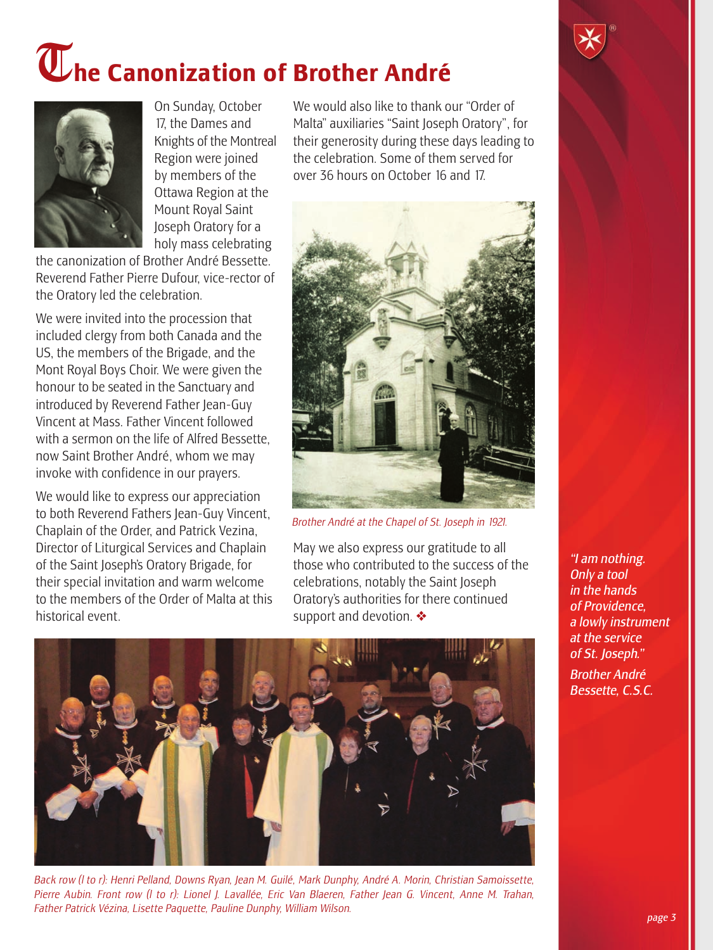# T**he Canonization of Brother André**



On Sunday, October 17, the Dames and Knights of the Montreal Region were joined by members of the Ottawa Region at the Mount Royal Saint Joseph Oratory for a holy mass celebrating

the canonization of Brother André Bessette. Reverend Father Pierre Dufour, vice-rector of the Oratory led the celebration.

We were invited into the procession that included clergy from both Canada and the US, the members of the Brigade, and the Mont Royal Boys Choir. We were given the honour to be seated in the Sanctuary and introduced by Reverend Father Jean-Guy Vincent at Mass. Father Vincent followed with a sermon on the life of Alfred Bessette, now Saint Brother André, whom we may invoke with confidence in our prayers.

We would like to express our appreciation to both Reverend Fathers Jean-Guy Vincent, Chaplain of the Order, and Patrick Vezina, Director of Liturgical Services and Chaplain of the Saint Joseph's Oratory Brigade, for their special invitation and warm welcome to the members of the Order of Malta at this historical event.

We would also like to thank our "Order of Malta" auxiliaries "Saint Joseph Oratory", for their generosity during these days leading to the celebration. Some of them served for over 36 hours on October 16 and 17.



*Brother André at the Chapel of St. Joseph in 1921.*

May we also express our gratitude to all those who contributed to the success of the celebrations, notably the Saint Joseph Oratory's authorities for there continued support and devotion. ❖



*Back row (l to r): Henri Pelland, Downs Ryan, Jean M. Guilé, Mark Dunphy, André A. Morin, Christian Samoissette, Pierre Aubin. Front row (l to r): Lionel J. Lavallée, Eric Van Blaeren, Father Jean G. Vincent, Anne M. Trahan, Father Patrick Vézina, Lisette Paquette, Pauline Dunphy, William Wilson.*

*"I am nothing. Only a tool in the hands of Providence, a lowly instrument at the service of St. Joseph."*

*Brother André Bessette, C.S.C.*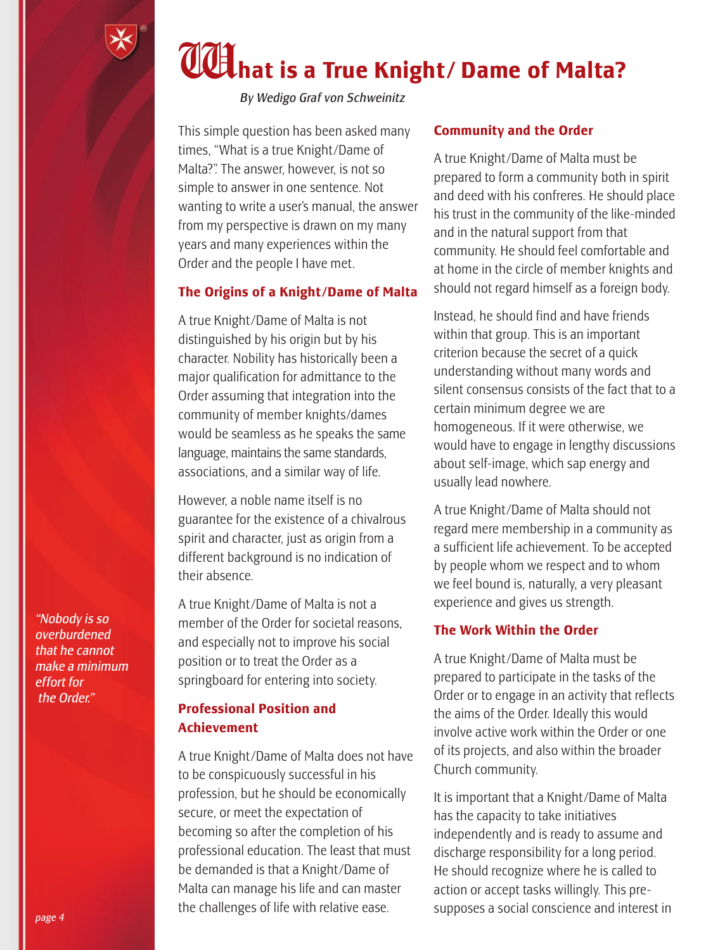

## W**hat is a True Knight/ Dame of Malta?**

*By Wedigo Graf von Schweinitz*

This simple question has been asked many times, "What is a true Knight /Dame of Malta?". The answer, however, is not so simple to answer in one sentence. Not wanting to write a user's manual, the answer from my perspective is drawn on my many years and many experiences within the Order and the people I have met.

#### **The Origins of a Knight/Dame of Malta**

A true Knight /Dame of Malta is not distinguished by his origin but by his character. Nobility has historically been a major qualification for admittance to the Order assuming that integration into the community of member knights/dames would be seamless as he speaks the same language, maintains the same standards, associations, and a similar way of life.

However, a noble name itself is no guarantee for the existence of a chivalrous spirit and character, just as origin from a different background is no indication of their absence.

A true Knight /Dame of Malta is not a member of the Order for societal reasons, and especially not to improve his social position or to treat the Order as a springboard for entering into society.

#### **Professional Position and Achievement**

A true Knight /Dame of Malta does not have to be conspicuously successful in his profession, but he should be economically secure, or meet the expectation of becoming so after the completion of his professional education. The least that must be demanded is that a Knight /Dame of Malta can manage his life and can master the challenges of life with relative ease.

#### **Community and the Order**

A true Knight /Dame of Malta must be prepared to form a community both in spirit and deed with his confreres. He should place his trust in the community of the like-minded and in the natural support from that community. He should feel comfortable and at home in the circle of member knights and should not regard himself as a foreign body.

Instead, he should find and have friends within that group. This is an important criterion because the secret of a quick understanding without many words and silent consensus consists of the fact that to a certain minimum degree we are homogeneous. If it were otherwise, we would have to engage in lengthy discussions about self-image, which sap energy and usually lead nowhere.

A true Knight /Dame of Malta should not regard mere membership in a community as a sufficient life achievement. To be accepted by people whom we respect and to whom we feel bound is, naturally, a very pleasant experience and gives us strength.

#### **The Work Within the Order**

A true Knight /Dame of Malta must be prepared to participate in the tasks of the Order or to engage in an activity that reflects the aims of the Order. Ideally this would involve active work within the Order or one of its projects, and also within the broader Church community.

It is important that a Knight/Dame of Malta has the capacity to take initiatives independently and is ready to assume and discharge responsibility for a long period. He should recognize where he is called to action or accept tasks willingly. This presupposes a social conscience and interest in

*"Nobody is so overburdened that he cannot make a minimum effort for the Order."*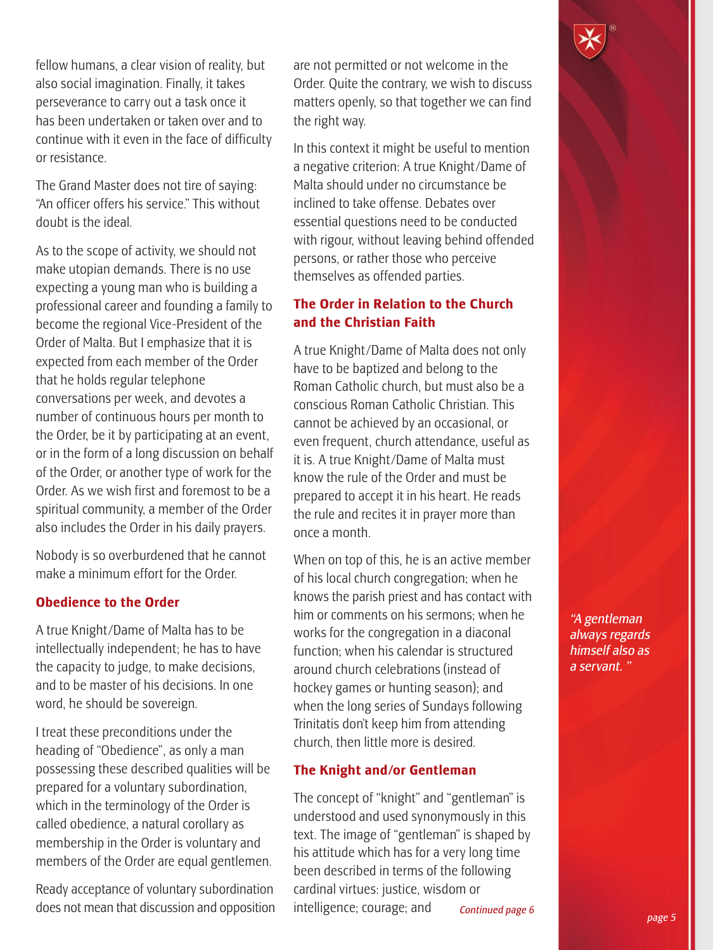fellow humans, a clear vision of reality, but also social imagination. Finally, it takes perseverance to carry out a task once it has been undertaken or taken over and to continue with it even in the face of difficulty or resistance.

The Grand Master does not tire of saying: "An officer offers his service." This without doubt is the ideal.

As to the scope of activity, we should not make utopian demands. There is no use expecting a young man who is building a professional career and founding a family to become the regional Vice-President of the Order of Malta. But I emphasize that it is expected from each member of the Order that he holds regular telephone conversations per week, and devotes a number of continuous hours per month to the Order, be it by participating at an event, or in the form of a long discussion on behalf of the Order, or another type of work for the Order. As we wish first and foremost to be a spiritual community, a member of the Order also includes the Order in his daily prayers.

Nobody is so overburdened that he cannot make a minimum effort for the Order.

#### **Obedience to the Order**

A true Knight /Dame of Malta has to be intellectually independent; he has to have the capacity to judge, to make decisions, and to be master of his decisions. In one word, he should be sovereign.

I treat these preconditions under the heading of "Obedience", as only a man possessing these described qualities will be prepared for a voluntary subordination, which in the terminology of the Order is called obedience, a natural corollary as membership in the Order is voluntary and members of the Order are equal gentlemen.

Ready acceptance of voluntary subordination does not mean that discussion and opposition are not permitted or not welcome in the Order. Quite the contrary, we wish to discuss matters openly, so that together we can find the right way.

In this context it might be useful to mention a negative criterion: A true Knight /Dame of Malta should under no circumstance be inclined to take offense. Debates over essential questions need to be conducted with rigour, without leaving behind offended persons, or rather those who perceive themselves as offended parties.

#### **The Order in Relation to the Church and the Christian Faith**

A true Knight /Dame of Malta does not only have to be baptized and belong to the Roman Catholic church, but must also be a conscious Roman Catholic Christian. This cannot be achieved by an occasional, or even frequent, church attendance, useful as it is. A true Knight/Dame of Malta must know the rule of the Order and must be prepared to accept it in his heart. He reads the rule and recites it in prayer more than once a month.

When on top of this, he is an active member of his local church congregation; when he knows the parish priest and has contact with him or comments on his sermons; when he works for the congregation in a diaconal function; when his calendar is structured around church celebrations (instead of hockey games or hunting season); and when the long series of Sundays following Trinitatis don't keep him from attending church, then little more is desired.

#### **The Knight and/or Gentleman**

The concept of "knight" and "gentleman" is understood and used synonymously in this text. The image of "gentleman" is shaped by his attitude which has for a very long time been described in terms of the following cardinal virtues: justice, wisdom or intelligence; courage; and *Continued page 6* *"A gentleman always regards himself also as a servant. "*